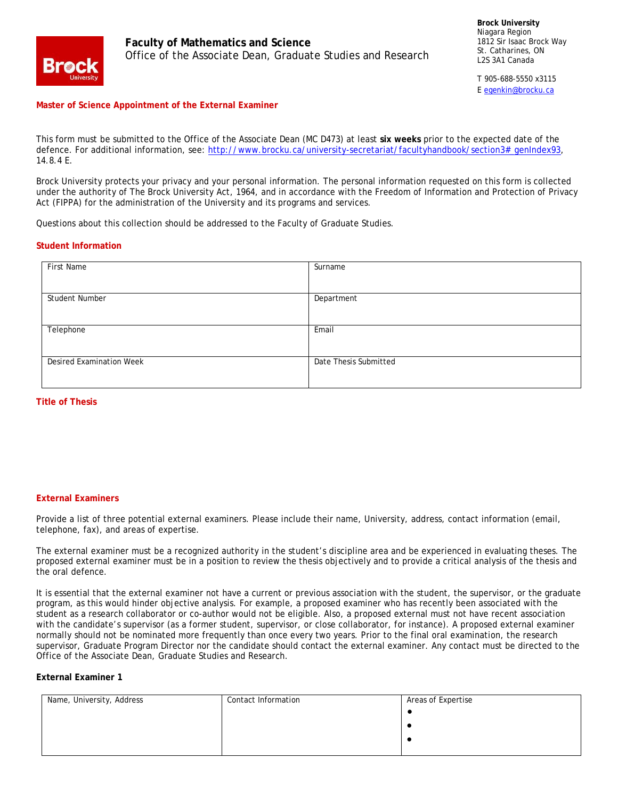

**Faculty of Mathematics and Science** Office of the Associate Dean, Graduate Studies and Research

T 905-688-5550 x3115 [E egenkin@brocku.ca](mailto:egenkin@brocku.ca)

#### **Master of Science Appointment of the External Examiner**

This form must be submitted to the Office of the Associate Dean (MC D473) at least **six weeks** prior to the expected date of the defence. For additional information, see: [http://www.brocku.ca/university-secretariat/facultyhandbook/section3#\\_genIndex93,](http://www.brocku.ca/university-secretariat/facultyhandbook/section3#_genIndex93) 14.8.4 E.

Brock University protects your privacy and your personal information. The personal information requested on this form is collected under the authority of The Brock University Act, 1964, and in accordance with the Freedom of Information and Protection of Privacy Act (FIPPA) for the administration of the University and its programs and services.

Questions about this collection should be addressed to the Faculty of Graduate Studies.

#### **Student Information**

| First Name                      | Surname               |
|---------------------------------|-----------------------|
|                                 |                       |
|                                 |                       |
| Student Number                  | Department            |
|                                 |                       |
| Telephone                       | Email                 |
|                                 |                       |
|                                 |                       |
| <b>Desired Examination Week</b> | Date Thesis Submitted |
|                                 |                       |
|                                 |                       |

#### **Title of Thesis**

#### **External Examiners**

Provide a list of three potential external examiners. Please include their name, University, address, contact information (email, telephone, fax), and areas of expertise.

The external examiner must be a recognized authority in the student's discipline area and be experienced in evaluating theses. The proposed external examiner must be in a position to review the thesis objectively and to provide a critical analysis of the thesis and the oral defence.

It is essential that the external examiner not have a current or previous association with the student, the supervisor, or the graduate program, as this would hinder objective analysis. For example, a proposed examiner who has recently been associated with the student as a research collaborator or co-author would not be eligible. Also, a proposed external must not have recent association with the candidate's supervisor (as a former student, supervisor, or close collaborator, for instance). A proposed external examiner normally should not be nominated more frequently than once every two years. Prior to the final oral examination, the research supervisor, Graduate Program Director nor the candidate should contact the external examiner. Any contact must be directed to the Office of the Associate Dean, Graduate Studies and Research.

#### **External Examiner 1**

| Name, University, Address | Contact Information | Areas of Expertise |
|---------------------------|---------------------|--------------------|
|                           |                     |                    |
|                           |                     |                    |
|                           |                     |                    |
|                           |                     |                    |